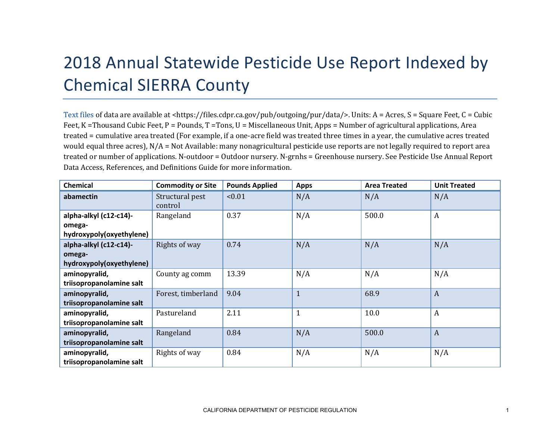## 2018 Annual Statewide Pesticide Use Report Indexed by Chemical SIERRA County

[Text files](https://files.cdpr.ca.gov/pub/outgoing/pur/data/) of data are available at <https://files.cdpr.ca.gov/pub/outgoing/pur/data/>. Units: A = Acres, S = Square Feet, C = Cubic Feet, K = Thousand Cubic Feet, P = Pounds, T = Tons, U = Miscellaneous Unit, Apps = Number of agricultural applications, Area treated = cumulative area treated (For example, if a one-acre field was treated three times in a year, the cumulative acres treated would equal three acres),  $N/A = Not$  Available: many nonagricultural pesticide use reports are not legally required to report area treated or number of applications. N-outdoor = Outdoor nursery. N-grnhs = Greenhouse nursery. See Pesticide Use Annual Report Data Access, References, and Definitions Guide for more information.

| <b>Chemical</b>          | <b>Commodity or Site</b>   | <b>Pounds Applied</b> | <b>Apps</b>  | <b>Area Treated</b> | <b>Unit Treated</b> |
|--------------------------|----------------------------|-----------------------|--------------|---------------------|---------------------|
| abamectin                | Structural pest<br>control | < 0.01                | N/A          | N/A                 | N/A                 |
| alpha-alkyl (c12-c14)-   | Rangeland                  | 0.37                  | N/A          | 500.0               | $\boldsymbol{A}$    |
| omega-                   |                            |                       |              |                     |                     |
| hydroxypoly(oxyethylene) |                            |                       |              |                     |                     |
| alpha-alkyl (c12-c14)-   | Rights of way              | 0.74                  | N/A          | N/A                 | N/A                 |
| omega-                   |                            |                       |              |                     |                     |
| hydroxypoly(oxyethylene) |                            |                       |              |                     |                     |
| aminopyralid,            | County ag comm             | 13.39                 | N/A          | N/A                 | N/A                 |
| triisopropanolamine salt |                            |                       |              |                     |                     |
| aminopyralid,            | Forest, timberland         | 9.04                  | $\mathbf{1}$ | 68.9                | $\overline{A}$      |
| triisopropanolamine salt |                            |                       |              |                     |                     |
| aminopyralid,            | Pastureland                | 2.11                  | $\mathbf{1}$ | 10.0                | $\boldsymbol{A}$    |
| triisopropanolamine salt |                            |                       |              |                     |                     |
| aminopyralid,            | Rangeland                  | 0.84                  | N/A          | 500.0               | $\overline{A}$      |
| triisopropanolamine salt |                            |                       |              |                     |                     |
| aminopyralid,            | Rights of way              | 0.84                  | N/A          | N/A                 | N/A                 |
| triisopropanolamine salt |                            |                       |              |                     |                     |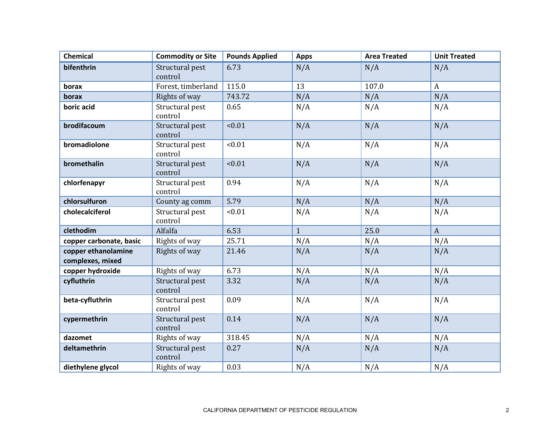| <b>Chemical</b>                         | <b>Commodity or Site</b>   | <b>Pounds Applied</b> | <b>Apps</b>  | <b>Area Treated</b> | <b>Unit Treated</b> |
|-----------------------------------------|----------------------------|-----------------------|--------------|---------------------|---------------------|
| bifenthrin                              | Structural pest<br>control | 6.73                  | N/A          | N/A                 | N/A                 |
| borax                                   | Forest, timberland         | 115.0                 | 13           | 107.0               | $\boldsymbol{A}$    |
| borax                                   | Rights of way              | 743.72                | N/A          | N/A                 | N/A                 |
| boric acid                              | Structural pest<br>control | 0.65                  | N/A          | N/A                 | N/A                 |
| brodifacoum                             | Structural pest<br>control | < 0.01                | N/A          | N/A                 | N/A                 |
| bromadiolone                            | Structural pest<br>control | < 0.01                | N/A          | N/A                 | N/A                 |
| bromethalin                             | Structural pest<br>control | < 0.01                | N/A          | N/A                 | N/A                 |
| chlorfenapyr                            | Structural pest<br>control | 0.94                  | N/A          | N/A                 | N/A                 |
| chlorsulfuron                           | County ag comm             | 5.79                  | N/A          | N/A                 | N/A                 |
| cholecalciferol                         | Structural pest<br>control | < 0.01                | N/A          | N/A                 | N/A                 |
| clethodim                               | Alfalfa                    | 6.53                  | $\mathbf{1}$ | 25.0                | $\mathbf{A}$        |
| copper carbonate, basic                 | Rights of way              | 25.71                 | N/A          | N/A                 | N/A                 |
| copper ethanolamine<br>complexes, mixed | Rights of way              | 21.46                 | N/A          | N/A                 | N/A                 |
| copper hydroxide                        | Rights of way              | 6.73                  | N/A          | N/A                 | N/A                 |
| cyfluthrin                              | Structural pest<br>control | 3.32                  | N/A          | N/A                 | N/A                 |
| beta-cyfluthrin                         | Structural pest<br>control | 0.09                  | N/A          | N/A                 | N/A                 |
| cypermethrin                            | Structural pest<br>control | 0.14                  | N/A          | N/A                 | N/A                 |
| dazomet                                 | Rights of way              | 318.45                | N/A          | N/A                 | N/A                 |
| deltamethrin                            | Structural pest<br>control | 0.27                  | N/A          | N/A                 | N/A                 |
| diethylene glycol                       | Rights of way              | 0.03                  | N/A          | N/A                 | N/A                 |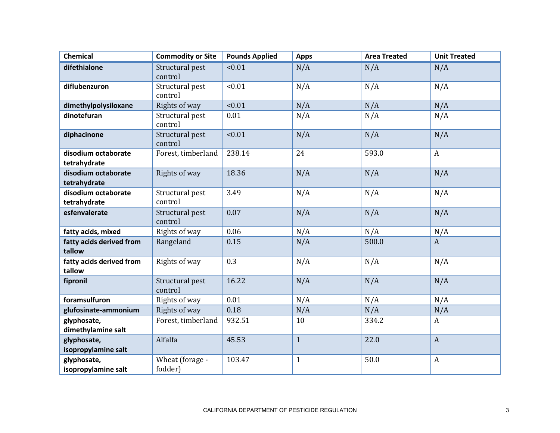| <b>Chemical</b>                     | <b>Commodity or Site</b>   | <b>Pounds Applied</b> | <b>Apps</b>  | <b>Area Treated</b> | <b>Unit Treated</b> |
|-------------------------------------|----------------------------|-----------------------|--------------|---------------------|---------------------|
| difethialone                        | Structural pest<br>control | < 0.01                | N/A          | N/A                 | N/A                 |
| diflubenzuron                       | Structural pest<br>control | < 0.01                | N/A          | N/A                 | N/A                 |
| dimethylpolysiloxane                | Rights of way              | < 0.01                | N/A          | N/A                 | N/A                 |
| dinotefuran                         | Structural pest<br>control | 0.01                  | N/A          | N/A                 | N/A                 |
| diphacinone                         | Structural pest<br>control | < 0.01                | N/A          | N/A                 | N/A                 |
| disodium octaborate<br>tetrahydrate | Forest, timberland         | 238.14                | 24           | 593.0               | $\boldsymbol{A}$    |
| disodium octaborate<br>tetrahydrate | Rights of way              | 18.36                 | N/A          | N/A                 | N/A                 |
| disodium octaborate<br>tetrahydrate | Structural pest<br>control | 3.49                  | N/A          | N/A                 | N/A                 |
| esfenvalerate                       | Structural pest<br>control | 0.07                  | N/A          | N/A                 | N/A                 |
| fatty acids, mixed                  | Rights of way              | 0.06                  | N/A          | N/A                 | N/A                 |
| fatty acids derived from<br>tallow  | Rangeland                  | 0.15                  | N/A          | 500.0               | $\overline{A}$      |
| fatty acids derived from<br>tallow  | Rights of way              | 0.3                   | N/A          | N/A                 | N/A                 |
| fipronil                            | Structural pest<br>control | 16.22                 | N/A          | N/A                 | N/A                 |
| foramsulfuron                       | Rights of way              | 0.01                  | N/A          | N/A                 | N/A                 |
| glufosinate-ammonium                | Rights of way              | 0.18                  | N/A          | N/A                 | N/A                 |
| glyphosate,                         | Forest, timberland         | 932.51                | 10           | 334.2               | $\boldsymbol{A}$    |
| dimethylamine salt                  |                            |                       |              |                     |                     |
| glyphosate,<br>isopropylamine salt  | Alfalfa                    | 45.53                 | $\mathbf{1}$ | 22.0                | $\boldsymbol{A}$    |
| glyphosate,<br>isopropylamine salt  | Wheat (forage -<br>fodder) | 103.47                | $\mathbf{1}$ | 50.0                | $\boldsymbol{A}$    |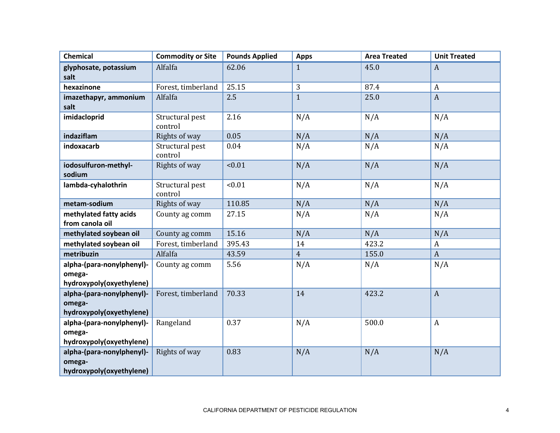| <b>Chemical</b>                                                 | <b>Commodity or Site</b>   | <b>Pounds Applied</b> | <b>Apps</b>    | <b>Area Treated</b> | <b>Unit Treated</b> |
|-----------------------------------------------------------------|----------------------------|-----------------------|----------------|---------------------|---------------------|
| glyphosate, potassium<br>salt                                   | Alfalfa                    | 62.06                 | $\mathbf{1}$   | 45.0                | $\boldsymbol{A}$    |
| hexazinone                                                      | Forest, timberland         | 25.15                 | 3              | 87.4                | $\mathbf{A}$        |
| imazethapyr, ammonium<br>salt                                   | Alfalfa                    | 2.5                   | $\mathbf{1}$   | 25.0                | $\mathbf{A}$        |
| imidacloprid                                                    | Structural pest<br>control | 2.16                  | N/A            | N/A                 | N/A                 |
| indaziflam                                                      | Rights of way              | 0.05                  | N/A            | N/A                 | N/A                 |
| indoxacarb                                                      | Structural pest<br>control | 0.04                  | N/A            | N/A                 | N/A                 |
| iodosulfuron-methyl-<br>sodium                                  | Rights of way              | < 0.01                | N/A            | N/A                 | N/A                 |
| lambda-cyhalothrin                                              | Structural pest<br>control | < 0.01                | N/A            | N/A                 | N/A                 |
| metam-sodium                                                    | Rights of way              | 110.85                | N/A            | N/A                 | N/A                 |
| methylated fatty acids<br>from canola oil                       | County ag comm             | 27.15                 | N/A            | N/A                 | N/A                 |
| methylated soybean oil                                          | County ag comm             | 15.16                 | N/A            | N/A                 | N/A                 |
| methylated soybean oil                                          | Forest, timberland         | 395.43                | 14             | 423.2               | $\boldsymbol{A}$    |
| metribuzin                                                      | Alfalfa                    | 43.59                 | $\overline{4}$ | 155.0               | $\boldsymbol{A}$    |
| alpha-(para-nonylphenyl)-<br>omega-<br>hydroxypoly(oxyethylene) | County ag comm             | 5.56                  | N/A            | N/A                 | N/A                 |
| alpha-(para-nonylphenyl)-<br>omega-<br>hydroxypoly(oxyethylene) | Forest, timberland         | 70.33                 | 14             | 423.2               | $\boldsymbol{A}$    |
| alpha-(para-nonylphenyl)-<br>omega-<br>hydroxypoly(oxyethylene) | Rangeland                  | 0.37                  | N/A            | 500.0               | $\boldsymbol{A}$    |
| alpha-(para-nonylphenyl)-<br>omega-<br>hydroxypoly(oxyethylene) | Rights of way              | 0.83                  | N/A            | N/A                 | N/A                 |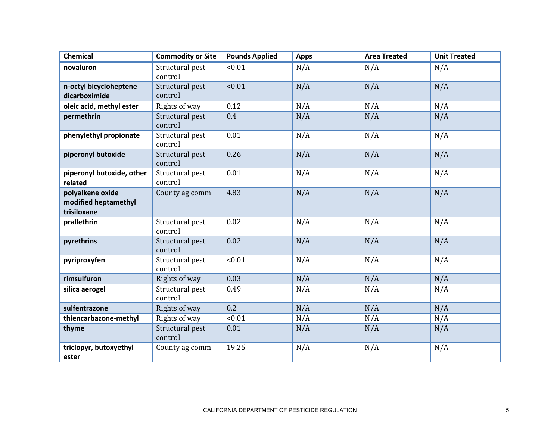| <b>Chemical</b>                                         | <b>Commodity or Site</b>   | <b>Pounds Applied</b> | <b>Apps</b> | <b>Area Treated</b> | <b>Unit Treated</b> |
|---------------------------------------------------------|----------------------------|-----------------------|-------------|---------------------|---------------------|
| novaluron                                               | Structural pest<br>control | < 0.01                | N/A         | N/A                 | N/A                 |
| n-octyl bicycloheptene<br>dicarboximide                 | Structural pest<br>control | < 0.01                | N/A         | N/A                 | N/A                 |
| oleic acid, methyl ester                                | Rights of way              | 0.12                  | N/A         | N/A                 | N/A                 |
| permethrin                                              | Structural pest<br>control | 0.4                   | N/A         | N/A                 | N/A                 |
| phenylethyl propionate                                  | Structural pest<br>control | 0.01                  | N/A         | N/A                 | N/A                 |
| piperonyl butoxide                                      | Structural pest<br>control | 0.26                  | N/A         | N/A                 | N/A                 |
| piperonyl butoxide, other<br>related                    | Structural pest<br>control | 0.01                  | N/A         | N/A                 | N/A                 |
| polyalkene oxide<br>modified heptamethyl<br>trisiloxane | County ag comm             | 4.83                  | N/A         | N/A                 | N/A                 |
| prallethrin                                             | Structural pest<br>control | 0.02                  | N/A         | N/A                 | N/A                 |
| pyrethrins                                              | Structural pest<br>control | 0.02                  | N/A         | N/A                 | N/A                 |
| pyriproxyfen                                            | Structural pest<br>control | < 0.01                | N/A         | N/A                 | N/A                 |
| rimsulfuron                                             | Rights of way              | 0.03                  | N/A         | N/A                 | N/A                 |
| silica aerogel                                          | Structural pest<br>control | 0.49                  | N/A         | N/A                 | N/A                 |
| sulfentrazone                                           | Rights of way              | 0.2                   | N/A         | N/A                 | N/A                 |
| thiencarbazone-methyl                                   | Rights of way              | < 0.01                | N/A         | N/A                 | N/A                 |
| thyme                                                   | Structural pest<br>control | 0.01                  | N/A         | N/A                 | N/A                 |
| triclopyr, butoxyethyl<br>ester                         | County ag comm             | 19.25                 | N/A         | N/A                 | N/A                 |